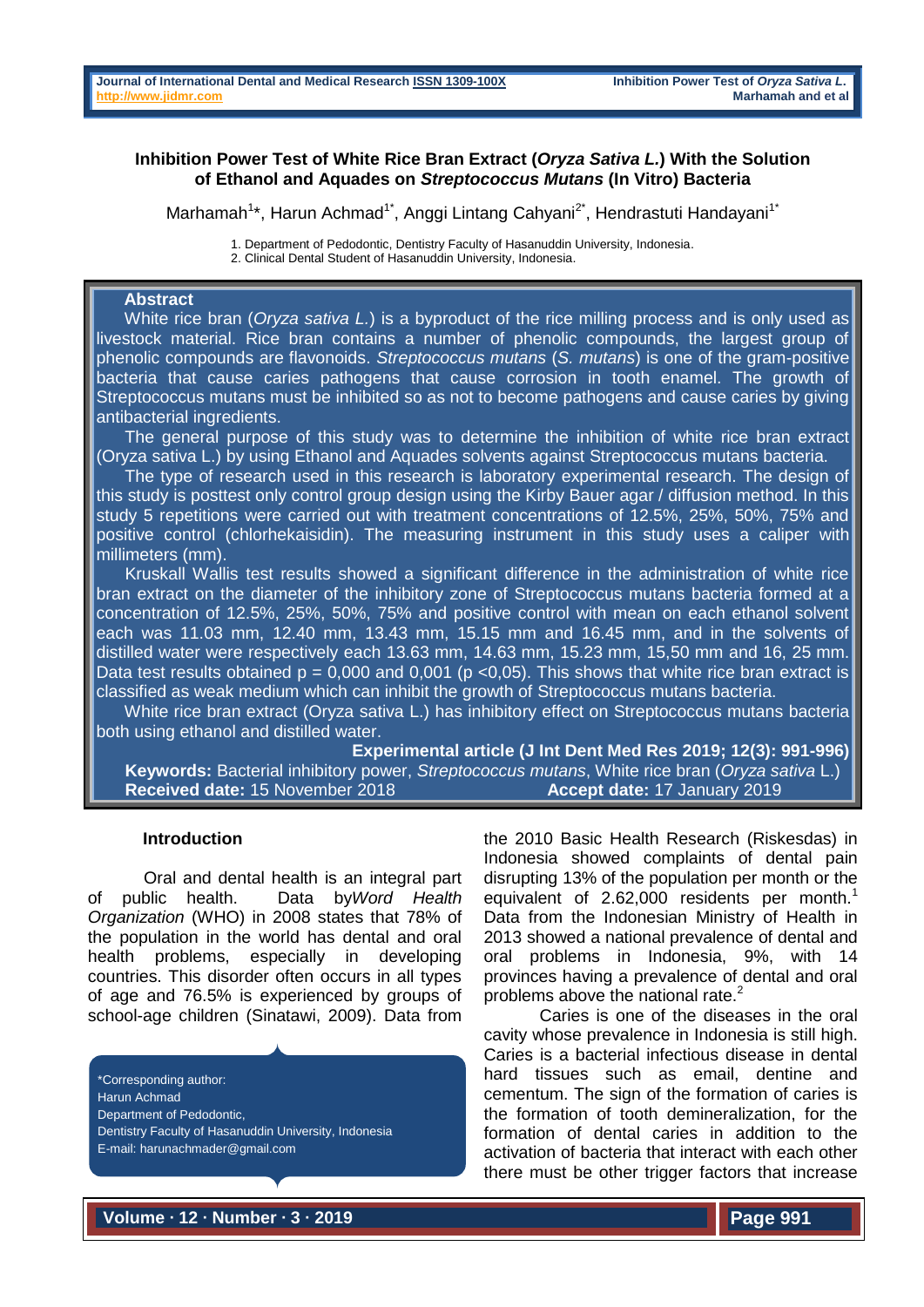## **Inhibition Power Test of White Rice Bran Extract (***Oryza Sativa L.***) With the Solution of Ethanol and Aquades on** *Streptococcus Mutans* **(In Vitro) Bacteria**

Marhamah<sup>1\*</sup>, Harun Achmad<sup>1\*</sup>, Anggi Lintang Cahyani<sup>2\*</sup>, Hendrastuti Handayani<sup>1\*</sup>

1. Department of Pedodontic, Dentistry Faculty of Hasanuddin University, Indonesia.

2. Clinical Dental Student of Hasanuddin University, Indonesia.

# **Abstract**

White rice bran (*Oryza sativa L.*) is a byproduct of the rice milling process and is only used as livestock material. Rice bran contains a number of phenolic compounds, the largest group of phenolic compounds are flavonoids. *Streptococcus mutans* (*S. mutans*) is one of the gram-positive bacteria that cause caries pathogens that cause corrosion in tooth enamel. The growth of Streptococcus mutans must be inhibited so as not to become pathogens and cause caries by giving antibacterial ingredients.

The general purpose of this study was to determine the inhibition of white rice bran extract (Oryza sativa L.) by using Ethanol and Aquades solvents against Streptococcus mutans bacteria.

 The type of research used in this research is laboratory experimental research. The design of this study is posttest only control group design using the Kirby Bauer agar / diffusion method. In this study 5 repetitions were carried out with treatment concentrations of 12.5%, 25%, 50%, 75% and positive control (chlorhekaisidin). The measuring instrument in this study uses a caliper with millimeters (mm).

 Kruskall Wallis test results showed a significant difference in the administration of white rice bran extract on the diameter of the inhibitory zone of Streptococcus mutans bacteria formed at a concentration of 12.5%, 25%, 50%, 75% and positive control with mean on each ethanol solvent each was 11.03 mm, 12.40 mm, 13.43 mm, 15.15 mm and 16.45 mm, and in the solvents of distilled water were respectively each 13.63 mm, 14.63 mm, 15.23 mm, 15,50 mm and 16, 25 mm. Data test results obtained  $p = 0,000$  and 0,001 ( $p < 0,05$ ). This shows that white rice bran extract is classified as weak medium which can inhibit the growth of Streptococcus mutans bacteria.

 White rice bran extract (Oryza sativa L.) has inhibitory effect on Streptococcus mutans bacteria both using ethanol and distilled water.

**Experimental article (J Int Dent Med Res 2019; 12(3): 991-996) Keywords:** Bacterial inhibitory power, *Streptococcus mutans*, White rice bran (*Oryza sativa* L.) **Received date:** 15 November 2018 **Accept date:** 17 January 2019

#### **Introduction**

Oral and dental health is an integral part of public health. Data by*Word Health Organization* (WHO) in 2008 states that 78% of the population in the world has dental and oral health problems, especially in developing countries. This disorder often occurs in all types of age and 76.5% is experienced by groups of school-age children (Sinatawi, 2009). Data from

\*Corresponding author: Harun Achmad Department of Pedodontic, Dentistry Faculty of Hasanuddin University, Indonesia E-mail: [harunachmader@gmail.com](mailto:harunachmader@gmail.com)

the 2010 Basic Health Research (Riskesdas) in Indonesia showed complaints of dental pain disrupting 13% of the population per month or the equivalent of  $2.62,000$  residents per month.<sup>1</sup> Data from the Indonesian Ministry of Health in 2013 showed a national prevalence of dental and oral problems in Indonesia, 9%, with 14 provinces having a prevalence of dental and oral problems above the national rate.<sup>2</sup>

Caries is one of the diseases in the oral cavity whose prevalence in Indonesia is still high. Caries is a bacterial infectious disease in dental hard tissues such as email, dentine and cementum. The sign of the formation of caries is the formation of tooth demineralization, for the formation of dental caries in addition to the activation of bacteria that interact with each other there must be other trigger factors that increase

**Volume ∙ 12 ∙ Number ∙ 3 ∙ 2019**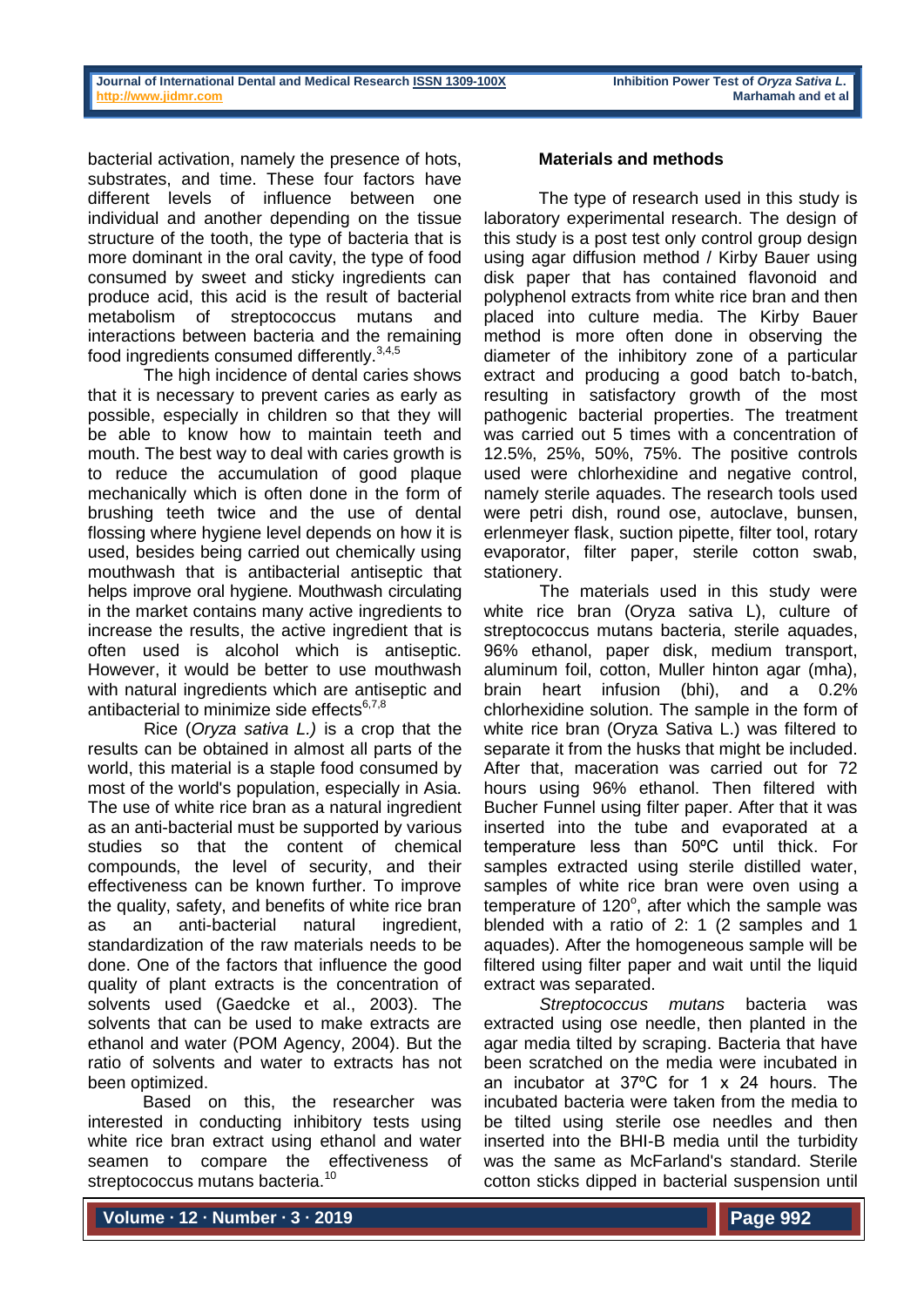bacterial activation, namely the presence of hots, substrates, and time. These four factors have different levels of influence between one individual and another depending on the tissue structure of the tooth, the type of bacteria that is more dominant in the oral cavity, the type of food consumed by sweet and sticky ingredients can produce acid, this acid is the result of bacterial metabolism of streptococcus mutans and interactions between bacteria and the remaining food ingredients consumed differently.<sup>3,4,5</sup>

The high incidence of dental caries shows that it is necessary to prevent caries as early as possible, especially in children so that they will be able to know how to maintain teeth and mouth. The best way to deal with caries growth is to reduce the accumulation of good plaque mechanically which is often done in the form of brushing teeth twice and the use of dental flossing where hygiene level depends on how it is used, besides being carried out chemically using mouthwash that is antibacterial antiseptic that helps improve oral hygiene. Mouthwash circulating in the market contains many active ingredients to increase the results, the active ingredient that is often used is alcohol which is antiseptic. However, it would be better to use mouthwash with natural ingredients which are antiseptic and antibacterial to minimize side effects $6,7,8$ 

Rice (*Oryza sativa L.)* is a crop that the results can be obtained in almost all parts of the world, this material is a staple food consumed by most of the world's population, especially in Asia. The use of white rice bran as a natural ingredient as an anti-bacterial must be supported by various studies so that the content of chemical compounds, the level of security, and their effectiveness can be known further. To improve the quality, safety, and benefits of white rice bran as an anti-bacterial natural ingredient, standardization of the raw materials needs to be done. One of the factors that influence the good quality of plant extracts is the concentration of solvents used (Gaedcke et al., 2003). The solvents that can be used to make extracts are ethanol and water (POM Agency, 2004). But the ratio of solvents and water to extracts has not been optimized.

Based on this, the researcher was interested in conducting inhibitory tests using white rice bran extract using ethanol and water seamen to compare the effectiveness of streptococcus mutans bacteria.<sup>10</sup>

#### **Materials and methods**

The type of research used in this study is laboratory experimental research. The design of this study is a post test only control group design using agar diffusion method / Kirby Bauer using disk paper that has contained flavonoid and polyphenol extracts from white rice bran and then placed into culture media. The Kirby Bauer method is more often done in observing the diameter of the inhibitory zone of a particular extract and producing a good batch to-batch, resulting in satisfactory growth of the most pathogenic bacterial properties. The treatment was carried out 5 times with a concentration of 12.5%, 25%, 50%, 75%. The positive controls used were chlorhexidine and negative control, namely sterile aquades. The research tools used were petri dish, round ose, autoclave, bunsen, erlenmeyer flask, suction pipette, filter tool, rotary evaporator, filter paper, sterile cotton swab, stationery.

The materials used in this study were white rice bran (Oryza sativa L), culture of streptococcus mutans bacteria, sterile aquades, 96% ethanol, paper disk, medium transport, aluminum foil, cotton, Muller hinton agar (mha), brain heart infusion (bhi), and a 0.2% chlorhexidine solution. The sample in the form of white rice bran (Oryza Sativa L.) was filtered to separate it from the husks that might be included. After that, maceration was carried out for 72 hours using 96% ethanol. Then filtered with Bucher Funnel using filter paper. After that it was inserted into the tube and evaporated at a temperature less than 50°C until thick. For samples extracted using sterile distilled water, samples of white rice bran were oven using a temperature of  $120^\circ$ , after which the sample was blended with a ratio of 2: 1 (2 samples and 1 aquades). After the homogeneous sample will be filtered using filter paper and wait until the liquid extract was separated.

*Streptococcus mutans* bacteria was extracted using ose needle, then planted in the agar media tilted by scraping. Bacteria that have been scratched on the media were incubated in an incubator at 37ºC for 1 x 24 hours. The incubated bacteria were taken from the media to be tilted using sterile ose needles and then inserted into the BHI-B media until the turbidity was the same as McFarland's standard. Sterile cotton sticks dipped in bacterial suspension until

**Volume ∙ 12 ∙ Number ∙ 3 ∙ 2019**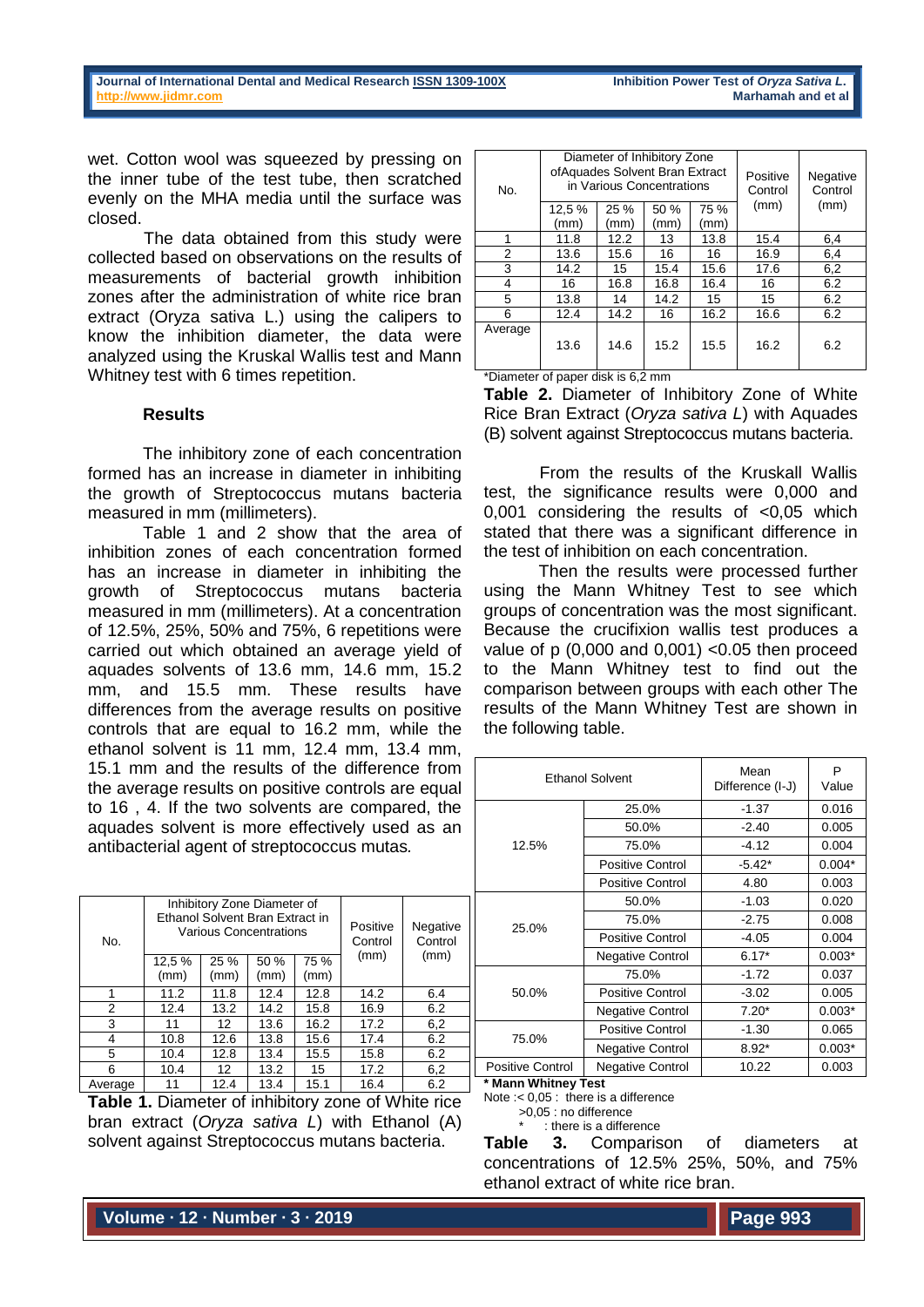wet. Cotton wool was squeezed by pressing on the inner tube of the test tube, then scratched evenly on the MHA media until the surface was closed.

The data obtained from this study were collected based on observations on the results of measurements of bacterial growth inhibition zones after the administration of white rice bran extract (Oryza sativa L.) using the calipers to know the inhibition diameter, the data were analyzed using the Kruskal Wallis test and Mann Whitney test with 6 times repetition.

## **Results**

The inhibitory zone of each concentration formed has an increase in diameter in inhibiting the growth of Streptococcus mutans bacteria measured in mm (millimeters).

Table 1 and 2 show that the area of inhibition zones of each concentration formed has an increase in diameter in inhibiting the growth of Streptococcus mutans bacteria measured in mm (millimeters). At a concentration of 12.5%, 25%, 50% and 75%, 6 repetitions were carried out which obtained an average yield of aquades solvents of 13.6 mm, 14.6 mm, 15.2 mm, and 15.5 mm. These results have differences from the average results on positive controls that are equal to 16.2 mm, while the ethanol solvent is 11 mm, 12.4 mm, 13.4 mm, 15.1 mm and the results of the difference from the average results on positive controls are equal to 16 , 4. If the two solvents are compared, the aquades solvent is more effectively used as an antibacterial agent of streptococcus mutas*.*

| No.     | Inhibitory Zone Diameter of<br>Ethanol Solvent Bran Extract in<br>Various Concentrations |              |              |              | Positive<br>Control | Negative<br>Control |
|---------|------------------------------------------------------------------------------------------|--------------|--------------|--------------|---------------------|---------------------|
|         | 12,5 %<br>(mm)                                                                           | 25 %<br>(mm) | 50 %<br>(mm) | 75 %<br>(mm) | (mm)                | (mm)                |
|         | 11.2                                                                                     | 11.8         | 12.4         | 12.8         | 14.2                | 6.4                 |
| 2       | 12.4                                                                                     | 13.2         | 14.2         | 15.8         | 16.9                | 6.2                 |
| 3       | 11                                                                                       | 12           | 13.6         | 16.2         | 17.2                | 6,2                 |
| 4       | 10.8                                                                                     | 12.6         | 13.8         | 15.6         | 17.4                | 6.2                 |
| 5       | 10.4                                                                                     | 12.8         | 13.4         | 15.5         | 15.8                | 6.2                 |
| 6       | 10.4                                                                                     | 12           | 13.2         | 15           | 17.2                | 6,2                 |
| Average | 11                                                                                       | 12.4         | 13.4         | 15.1         | 16.4                | 6.2                 |

**Table 1.** Diameter of inhibitory zone of White rice bran extract (*Oryza sativa L*) with Ethanol (A) solvent against Streptococcus mutans bacteria.

| No.     | Diameter of Inhibitory Zone<br>ofAquades Solvent Bran Extract<br>in Various Concentrations |              |              |              | Positive<br>Control | Negative<br>Control |
|---------|--------------------------------------------------------------------------------------------|--------------|--------------|--------------|---------------------|---------------------|
|         | 12,5 %<br>(mm)                                                                             | 25 %<br>(mm) | 50 %<br>(mm) | 75 %<br>(mm) | (mm)                | (mm)                |
| 1       | 11.8                                                                                       | 12.2         | 13           | 13.8         | 15.4                | 6,4                 |
| 2       | 13.6                                                                                       | 15.6         | 16           | 16           | 16.9                | 6,4                 |
| 3       | 14.2                                                                                       | 15           | 15.4         | 15.6         | 17.6                | 6,2                 |
| 4       | 16                                                                                         | 16.8         | 16.8         | 16.4         | 16                  | 6.2                 |
| 5       | 13.8                                                                                       | 14           | 14.2         | 15           | 15                  | 6.2                 |
| 6       | 12.4                                                                                       | 14.2         | 16           | 16.2         | 16.6                | 6.2                 |
| Average | 13.6                                                                                       | 14.6         | 15.2         | 15.5         | 16.2                | 6.2                 |

\*Diameter of paper disk is 6,2 mm

**Table 2.** Diameter of Inhibitory Zone of White Rice Bran Extract (*Oryza sativa L*) with Aquades (B) solvent against Streptococcus mutans bacteria.

From the results of the Kruskall Wallis test, the significance results were 0,000 and 0,001 considering the results of <0,05 which stated that there was a significant difference in the test of inhibition on each concentration.

Then the results were processed further using the Mann Whitney Test to see which groups of concentration was the most significant. Because the crucifixion wallis test produces a value of  $p(0,000)$  and  $0,001$   $<0.05$  then proceed to the Mann Whitney test to find out the comparison between groups with each other The results of the Mann Whitney Test are shown in the following table.

|  |                         | <b>Ethanol Solvent</b>  | Mean<br>Difference (I-J) | P<br>Value |
|--|-------------------------|-------------------------|--------------------------|------------|
|  |                         | 25.0%                   | $-1.37$                  | 0.016      |
|  |                         | 50.0%                   | $-2.40$                  | 0.005      |
|  | 12.5%                   | 75.0%                   | $-4.12$                  | 0.004      |
|  |                         | <b>Positive Control</b> | $-5.42*$                 | $0.004*$   |
|  |                         | <b>Positive Control</b> | 4.80                     | 0.003      |
|  | 25.0%                   | 50.0%                   | $-1.03$                  | 0.020      |
|  |                         | 75.0%                   | $-2.75$                  | 0.008      |
|  |                         | Positive Control        | $-4.05$                  | 0.004      |
|  |                         | <b>Negative Control</b> | $6.17*$                  | $0.003*$   |
|  |                         | 75.0%                   | $-1.72$                  | 0.037      |
|  | 50.0%                   | Positive Control        | $-3.02$                  | 0.005      |
|  |                         | <b>Negative Control</b> | $7.20*$                  | $0.003*$   |
|  |                         | Positive Control        | $-1.30$                  | 0.065      |
|  | 75.0%                   | <b>Negative Control</b> | $8.92*$                  | $0.003*$   |
|  | <b>Positive Control</b> | <b>Negative Control</b> | 10.22                    | 0.003      |

**\* Mann Whitney Test**

Note :< 0,05 : there is a difference

>0,05 : no difference

: there is a difference

**Table 3.** Comparison of diameters at concentrations of 12.5% 25%, 50%, and 75% ethanol extract of white rice bran.

**Volume ∙ 12 ∙ Number ∙ 3 ∙ 2019**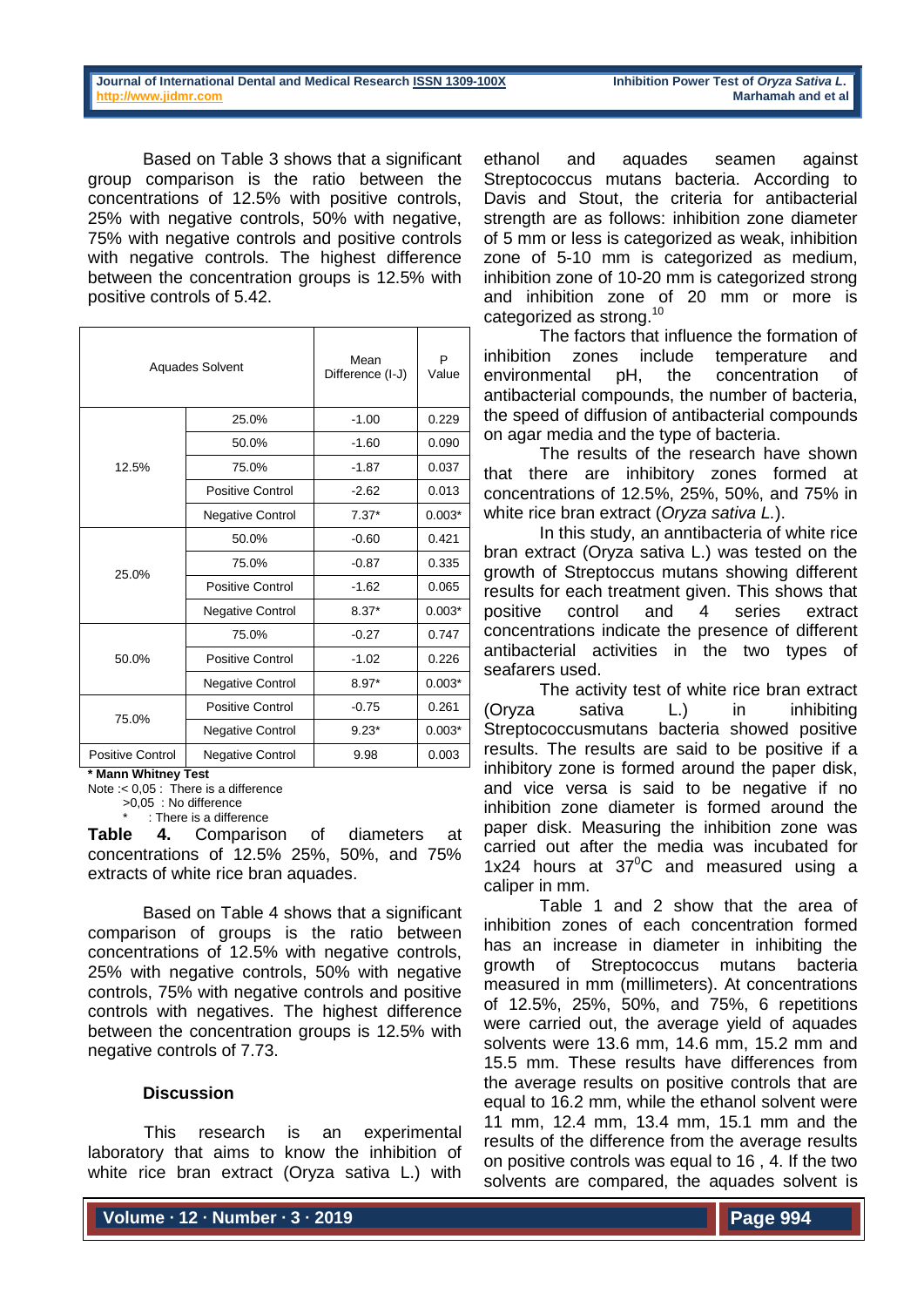Based on Table 3 shows that a significant group comparison is the ratio between the concentrations of 12.5% with positive controls, 25% with negative controls, 50% with negative, 75% with negative controls and positive controls with negative controls. The highest difference between the concentration groups is 12.5% with positive controls of 5.42.

| <b>Aquades Solvent</b>  |                         | Mean<br>Difference (I-J) | P<br>Value |
|-------------------------|-------------------------|--------------------------|------------|
|                         | 25.0%                   | $-1.00$                  | 0.229      |
|                         | 50.0%                   | $-1.60$                  | 0.090      |
| 12.5%                   | 75.0%                   | $-1.87$                  | 0.037      |
|                         | Positive Control        | $-2.62$                  | 0.013      |
|                         | <b>Negative Control</b> | $7.37*$                  | $0.003*$   |
|                         | 50.0%                   | $-0.60$                  | 0.421      |
| 25.0%                   | 75.0%                   | $-0.87$                  | 0.335      |
|                         | Positive Control        | $-1.62$                  | 0.065      |
|                         | <b>Negative Control</b> | $8.37*$                  | $0.003*$   |
|                         | 75.0%                   | $-0.27$                  | 0.747      |
| 50.0%                   | Positive Control        | $-1.02$                  | 0.226      |
|                         | <b>Negative Control</b> | $8.97*$                  | $0.003*$   |
|                         | Positive Control        | $-0.75$                  | 0.261      |
| 75.0%                   | <b>Negative Control</b> | $9.23*$                  | $0.003*$   |
| <b>Positive Control</b> | <b>Negative Control</b> | 9.98                     | 0.003      |

**\* Mann Whitney Test**

Note :< 0,05 : There is a difference

>0,05 : No difference : There is a difference

**Table 4.** Comparison of diameters at concentrations of 12.5% 25%, 50%, and 75% extracts of white rice bran aquades.

Based on Table 4 shows that a significant comparison of groups is the ratio between concentrations of 12.5% with negative controls, 25% with negative controls, 50% with negative controls, 75% with negative controls and positive controls with negatives. The highest difference between the concentration groups is 12.5% with negative controls of 7.73.

## **Discussion**

This research is an experimental laboratory that aims to know the inhibition of white rice bran extract (Oryza sativa L.) with

ethanol and aquades seamen against Streptococcus mutans bacteria. According to Davis and Stout, the criteria for antibacterial strength are as follows: inhibition zone diameter of 5 mm or less is categorized as weak, inhibition zone of 5-10 mm is categorized as medium, inhibition zone of 10-20 mm is categorized strong and inhibition zone of 20 mm or more is categorized as strong.<sup>10</sup>

The factors that influence the formation of inhibition zones include temperature and environmental pH, the concentration of antibacterial compounds, the number of bacteria, the speed of diffusion of antibacterial compounds on agar media and the type of bacteria.

The results of the research have shown that there are inhibitory zones formed at concentrations of 12.5%, 25%, 50%, and 75% in white rice bran extract (*Oryza sativa L.*).

In this study, an anntibacteria of white rice bran extract (Oryza sativa L.) was tested on the growth of Streptoccus mutans showing different results for each treatment given. This shows that positive control and 4 series extract concentrations indicate the presence of different antibacterial activities in the two types of seafarers used.

The activity test of white rice bran extract (Oryza sativa L.) in inhibiting Streptococcusmutans bacteria showed positive results. The results are said to be positive if a inhibitory zone is formed around the paper disk, and vice versa is said to be negative if no inhibition zone diameter is formed around the paper disk. Measuring the inhibition zone was carried out after the media was incubated for 1x24 hours at  $37^{\circ}$ C and measured using a caliper in mm.

Table 1 and 2 show that the area of inhibition zones of each concentration formed has an increase in diameter in inhibiting the growth of Streptococcus mutans bacteria measured in mm (millimeters). At concentrations of 12.5%, 25%, 50%, and 75%, 6 repetitions were carried out, the average yield of aquades solvents were 13.6 mm, 14.6 mm, 15.2 mm and 15.5 mm. These results have differences from the average results on positive controls that are equal to 16.2 mm, while the ethanol solvent were 11 mm, 12.4 mm, 13.4 mm, 15.1 mm and the results of the difference from the average results on positive controls was equal to 16 , 4. If the two solvents are compared, the aquades solvent is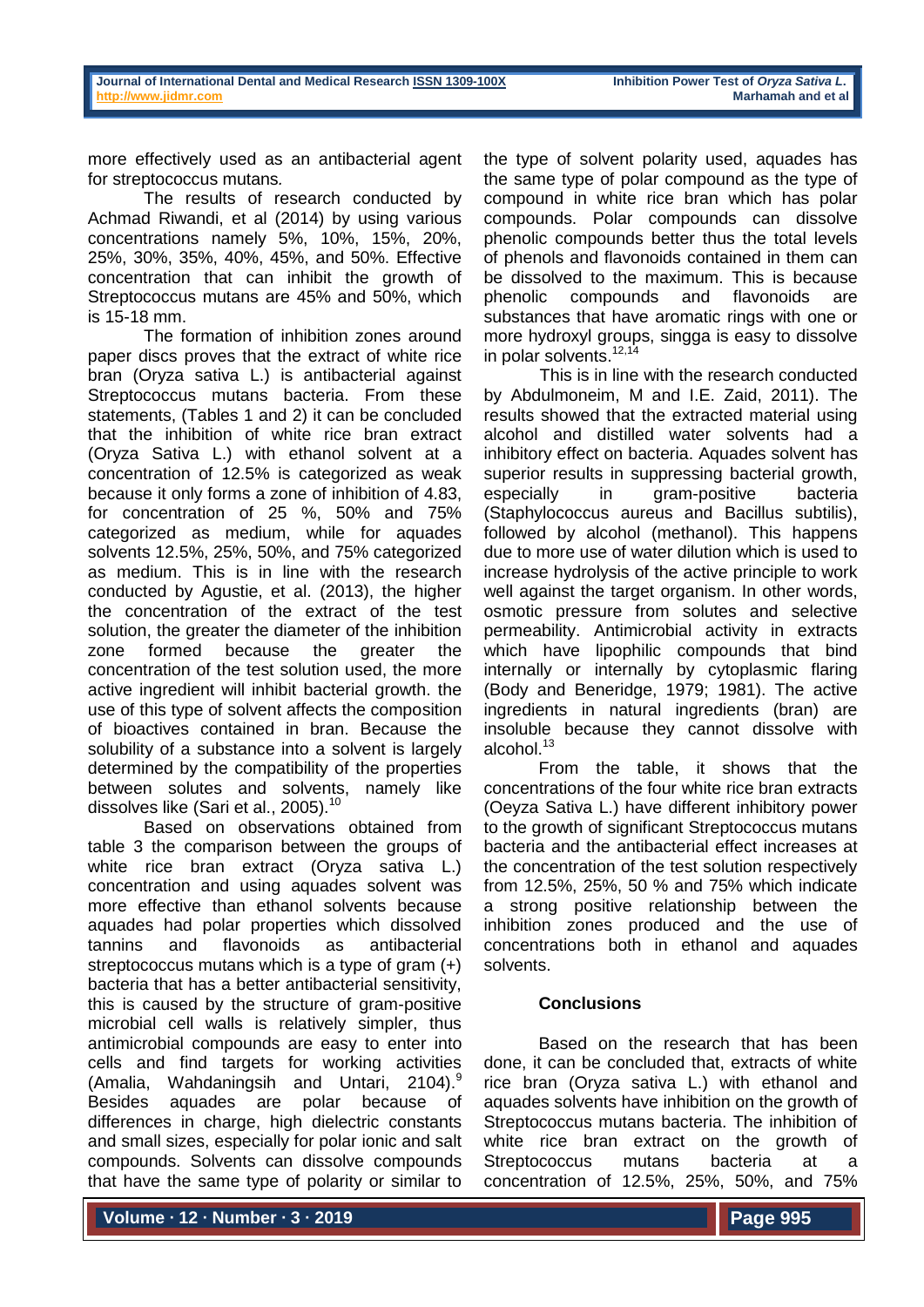more effectively used as an antibacterial agent for streptococcus mutans*.*

The results of research conducted by Achmad Riwandi, et al (2014) by using various concentrations namely 5%, 10%, 15%, 20%, 25%, 30%, 35%, 40%, 45%, and 50%. Effective concentration that can inhibit the growth of Streptococcus mutans are 45% and 50%, which is 15-18 mm.

The formation of inhibition zones around paper discs proves that the extract of white rice bran (Oryza sativa L.) is antibacterial against Streptococcus mutans bacteria. From these statements, (Tables 1 and 2) it can be concluded that the inhibition of white rice bran extract (Oryza Sativa L.) with ethanol solvent at a concentration of 12.5% is categorized as weak because it only forms a zone of inhibition of 4.83, for concentration of 25 %, 50% and 75% categorized as medium, while for aquades solvents 12.5%, 25%, 50%, and 75% categorized as medium. This is in line with the research conducted by Agustie, et al. (2013), the higher the concentration of the extract of the test solution, the greater the diameter of the inhibition zone formed because the greater the concentration of the test solution used, the more active ingredient will inhibit bacterial growth. the use of this type of solvent affects the composition of bioactives contained in bran. Because the solubility of a substance into a solvent is largely determined by the compatibility of the properties between solutes and solvents, namely like dissolves like (Sari et al., 2005).<sup>10</sup>

Based on observations obtained from table 3 the comparison between the groups of white rice bran extract (Oryza sativa L.) concentration and using aquades solvent was more effective than ethanol solvents because aquades had polar properties which dissolved tannins and flavonoids as antibacterial streptococcus mutans which is a type of gram (+) bacteria that has a better antibacterial sensitivity, this is caused by the structure of gram-positive microbial cell walls is relatively simpler, thus antimicrobial compounds are easy to enter into cells and find targets for working activities (Amalia, Wahdaningsih and Untari, 2104).<sup>9</sup> Besides aquades are polar because of differences in charge, high dielectric constants and small sizes, especially for polar ionic and salt compounds. Solvents can dissolve compounds that have the same type of polarity or similar to

the type of solvent polarity used, aquades has the same type of polar compound as the type of compound in white rice bran which has polar compounds. Polar compounds can dissolve phenolic compounds better thus the total levels of phenols and flavonoids contained in them can be dissolved to the maximum. This is because phenolic compounds and flavonoids are substances that have aromatic rings with one or more hydroxyl groups, singga is easy to dissolve in polar solvents.<sup>12,14</sup>

This is in line with the research conducted by Abdulmoneim, M and I.E. Zaid, 2011). The results showed that the extracted material using alcohol and distilled water solvents had a inhibitory effect on bacteria. Aquades solvent has superior results in suppressing bacterial growth, especially in gram-positive bacteria (Staphylococcus aureus and Bacillus subtilis), followed by alcohol (methanol). This happens due to more use of water dilution which is used to increase hydrolysis of the active principle to work well against the target organism. In other words, osmotic pressure from solutes and selective permeability. Antimicrobial activity in extracts which have lipophilic compounds that bind internally or internally by cytoplasmic flaring (Body and Beneridge, 1979; 1981). The active ingredients in natural ingredients (bran) are insoluble because they cannot dissolve with alcohol.<sup>13</sup>

From the table, it shows that the concentrations of the four white rice bran extracts (Oeyza Sativa L.) have different inhibitory power to the growth of significant Streptococcus mutans bacteria and the antibacterial effect increases at the concentration of the test solution respectively from 12.5%, 25%, 50 % and 75% which indicate a strong positive relationship between the inhibition zones produced and the use of concentrations both in ethanol and aquades solvents.

# **Conclusions**

Based on the research that has been done, it can be concluded that, extracts of white rice bran (Oryza sativa L.) with ethanol and aquades solvents have inhibition on the growth of Streptococcus mutans bacteria. The inhibition of white rice bran extract on the growth of Streptococcus mutans bacteria at a concentration of 12.5%, 25%, 50%, and 75%

**Volume ∙ 12 ∙ Number ∙ 3 ∙ 2019**